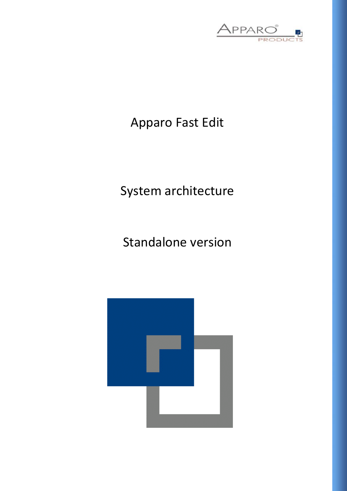

## Apparo Fast Edit

# System architecture

# Standalone version

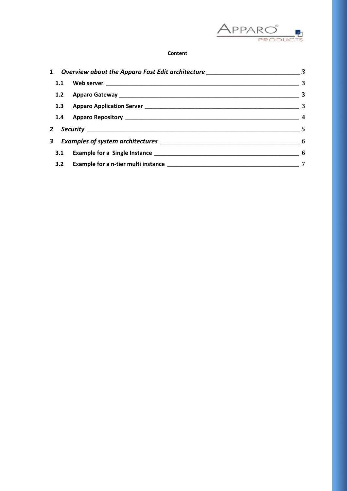

## **Content**

| 1.1 |  | $\overline{\mathbf{3}}$ |
|-----|--|-------------------------|
|     |  | $\overline{\mathbf{3}}$ |
|     |  |                         |
|     |  |                         |
|     |  | $\overline{5}$          |
|     |  |                         |
|     |  |                         |
|     |  | 7                       |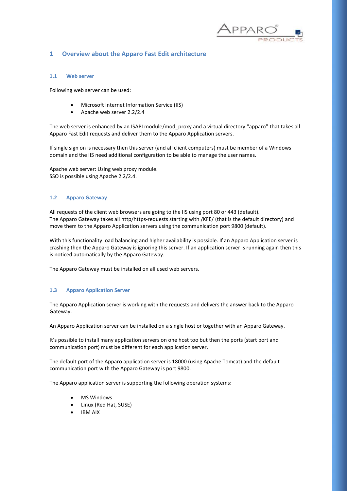

## <span id="page-2-0"></span>**1 Overview about the Apparo Fast Edit architecture**

#### <span id="page-2-1"></span>**1.1 Web server**

Following web server can be used:

- Microsoft Internet Information Service (IIS)
- Apache web server 2.2/2.4

The web server is enhanced by an ISAPI module/mod\_proxy and a virtual directory "apparo" that takes all Apparo Fast Edit requests and deliver them to the Apparo Application servers.

If single sign on is necessary then this server (and all client computers) must be member of a Windows domain and the IIS need additional configuration to be able to manage the user names.

Apache web server: Using web proxy module. SSO is possible using Apache 2.2/2.4.

#### <span id="page-2-2"></span>**1.2 Apparo Gateway**

All requests of the client web browsers are going to the IIS using port 80 or 443 (default). The Apparo Gateway takes all http/https-requests starting with /KFE/ (that is the default directory) and move them to the Apparo Application servers using the communication port 9800 (default).

With this functionality load balancing and higher availability is possible. If an Apparo Application server is crashing then the Apparo Gateway is ignoring this server. If an application server is running again then this is noticed automatically by the Apparo Gateway.

The Apparo Gateway must be installed on all used web servers.

#### <span id="page-2-3"></span>**1.3 Apparo Application Server**

The Apparo Application server is working with the requests and delivers the answer back to the Apparo Gateway.

An Apparo Application server can be installed on a single host or together with an Apparo Gateway.

It's possible to install many application servers on one host too but then the ports (start port and communication port) must be different for each application server.

The default port of the Apparo application server is 18000 (using Apache Tomcat) and the default communication port with the Apparo Gateway is port 9800.

The Apparo application server is supporting the following operation systems:

- MS Windows
- Linux (Red Hat, SUSE)
- IBM AIX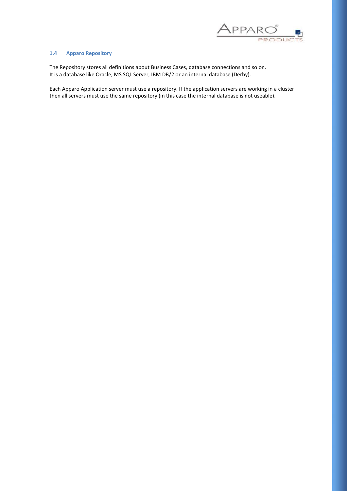

#### <span id="page-3-0"></span>**1.4 Apparo Repository**

The Repository stores all definitions about Business Cases, database connections and so on. It is a database like Oracle, MS SQL Server, IBM DB/2 or an internal database (Derby).

Each Apparo Application server must use a repository. If the application servers are working in a cluster then all servers must use the same repository (in this case the internal database is not useable).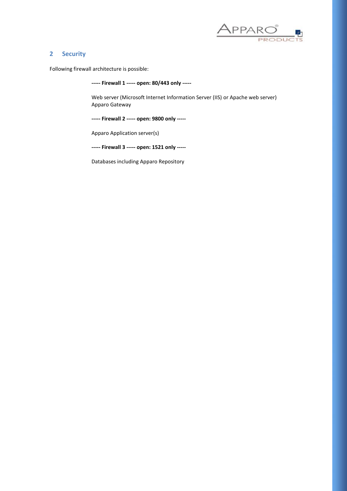

## <span id="page-4-0"></span>**2 Security**

Following firewall architecture is possible:

**----- Firewall 1 ----- open: 80/443 only -----**

Web server (Microsoft Internet Information Server (IIS) or Apache web server) Apparo Gateway

**----- Firewall 2 ----- open: 9800 only -----**

Apparo Application server(s)

**----- Firewall 3 ----- open: 1521 only -----**

Databases including Apparo Repository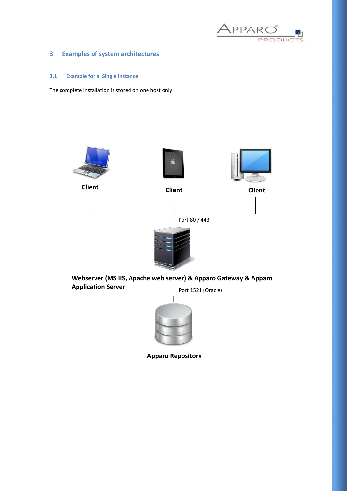

## <span id="page-5-0"></span>**3 Examples of system architectures**

## <span id="page-5-1"></span>**3.1 Example for a Single Instance**

The complete installation is stored on one host only.





**Client**



**Client**

Port 80 / 443



**Webserver (MS IIS, Apache web server) & Apparo Gateway & Apparo Application Server** Port 1521 (Oracle)



**Apparo Repository**